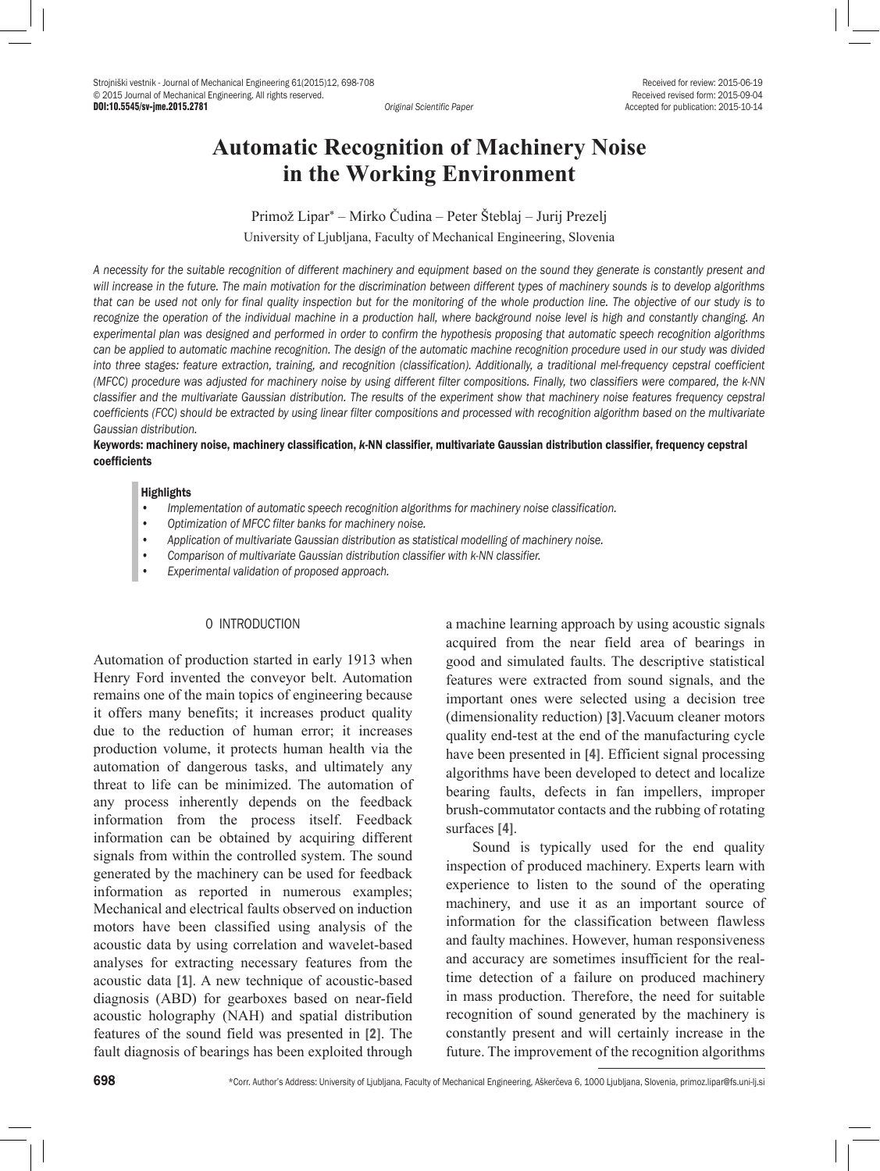DOI:10.5545/sv-jme.2015.2781 *Original Scientific Paper* Accepted for publication: 2015-10-14

# **Automatic Recognition of Machinery Noise in the Working Environment**

Primož Lipar\* – Mirko Čudina – Peter Šteblaj – Jurij Prezelj University of Ljubljana, Faculty of Mechanical Engineering, Slovenia

*A necessity for the suitable recognition of different machinery and equipment based on the sound they generate is constantly present and*  will increase in the future. The main motivation for the discrimination between different types of machinery sounds is to develop algorithms *that can be used not only for final quality inspection but for the monitoring of the whole production line. The objective of our study is to recognize the operation of the individual machine in a production hall, where background noise level is high and constantly changing. An experimental plan was designed and performed in order to confirm the hypothesis proposing that automatic speech recognition algorithms*  can be applied to automatic machine recognition. The design of the automatic machine recognition procedure used in our study was divided into three stages: feature extraction, training, and recognition (classification). Additionally, a traditional mel-frequency cepstral coefficient *(MFCC) procedure was adjusted for machinery noise by using different filter compositions. Finally, two classifiers were compared, the k-NN classifier and the multivariate Gaussian distribution. The results of the experiment show that machinery noise features frequency cepstral*  coefficients (FCC) should be extracted by using linear filter compositions and processed with recognition algorithm based on the multivariate *Gaussian distribution.* 

## Keywords: machinery noise, machinery classification, *k*-NN classifier, multivariate Gaussian distribution classifier, frequency cepstral coefficients

#### **Highlights**

- *• Implementation of automatic speech recognition algorithms for machinery noise classification.*
- *• Optimization of MFCC filter banks for machinery noise.*
- *• Application of multivariate Gaussian distribution as statistical modelling of machinery noise.*
- *• Comparison of multivariate Gaussian distribution classifier with k-NN classifier.*
- *• Experimental validation of proposed approach.*

## 0 INTRODUCTION

Automation of production started in early 1913 when Henry Ford invented the conveyor belt. Automation remains one of the main topics of engineering because it offers many benefits; it increases product quality due to the reduction of human error; it increases production volume, it protects human health via the automation of dangerous tasks, and ultimately any threat to life can be minimized. The automation of any process inherently depends on the feedback information from the process itself. Feedback information can be obtained by acquiring different signals from within the controlled system. The sound generated by the machinery can be used for feedback information as reported in numerous examples; Mechanical and electrical faults observed on induction motors have been classified using analysis of the acoustic data by using correlation and wavelet-based analyses for extracting necessary features from the acoustic data [1]. A new technique of acoustic-based diagnosis (ABD) for gearboxes based on near-field acoustic holography (NAH) and spatial distribution features of the sound field was presented in [2]. The fault diagnosis of bearings has been exploited through

a machine learning approach by using acoustic signals acquired from the near field area of bearings in good and simulated faults. The descriptive statistical features were extracted from sound signals, and the important ones were selected using a decision tree (dimensionality reduction) [3].Vacuum cleaner motors quality end-test at the end of the manufacturing cycle have been presented in [4]. Efficient signal processing algorithms have been developed to detect and localize bearing faults, defects in fan impellers, improper brush-commutator contacts and the rubbing of rotating surfaces [4].

Sound is typically used for the end quality inspection of produced machinery. Experts learn with experience to listen to the sound of the operating machinery, and use it as an important source of information for the classification between flawless and faulty machines. However, human responsiveness and accuracy are sometimes insufficient for the realtime detection of a failure on produced machinery in mass production. Therefore, the need for suitable recognition of sound generated by the machinery is constantly present and will certainly increase in the future. The improvement of the recognition algorithms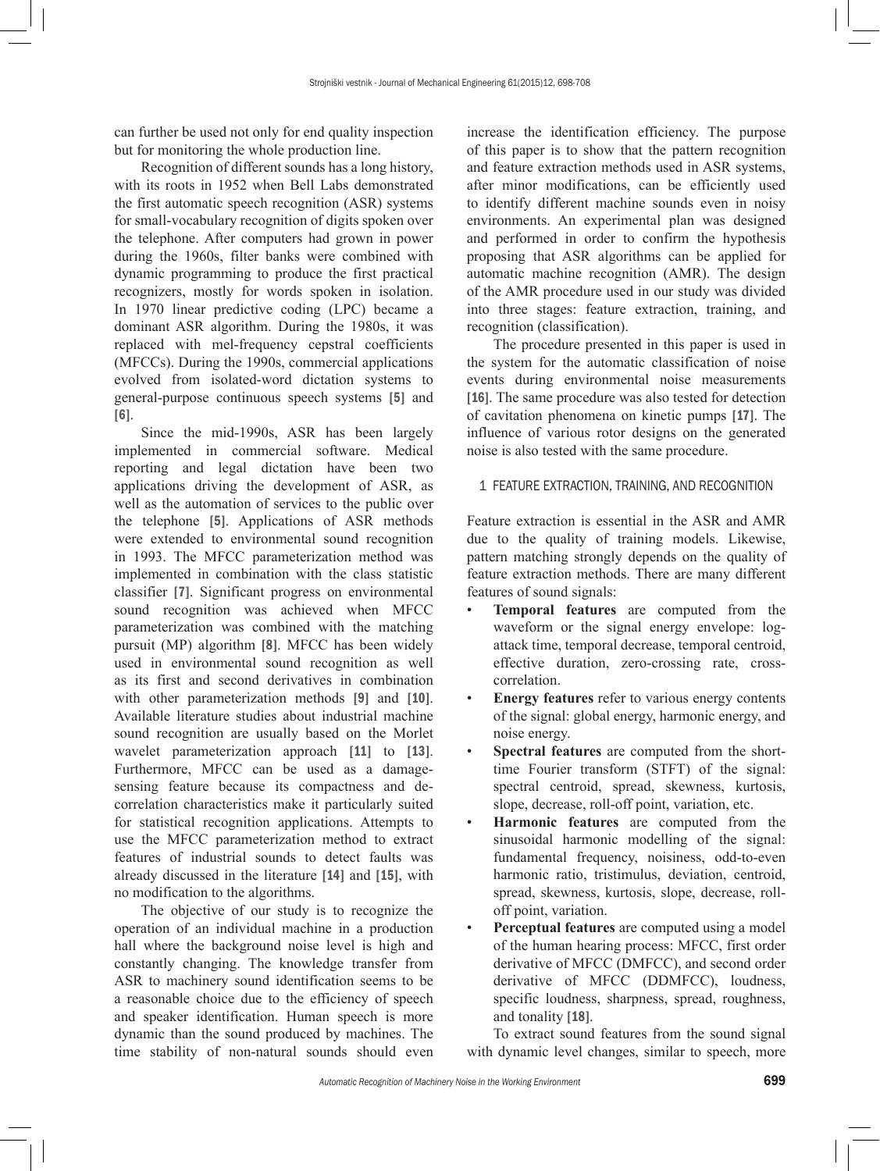can further be used not only for end quality inspection but for monitoring the whole production line.

Recognition of different sounds has a long history, with its roots in 1952 when Bell Labs demonstrated the first automatic speech recognition (ASR) systems for small-vocabulary recognition of digits spoken over the telephone. After computers had grown in power during the 1960s, filter banks were combined with dynamic programming to produce the first practical recognizers, mostly for words spoken in isolation. In 1970 linear predictive coding (LPC) became a dominant ASR algorithm. During the 1980s, it was replaced with mel-frequency cepstral coefficients (MFCCs). During the 1990s, commercial applications evolved from isolated-word dictation systems to general-purpose continuous speech systems [5] and [6].

Since the mid-1990s, ASR has been largely implemented in commercial software. Medical reporting and legal dictation have been two applications driving the development of ASR, as well as the automation of services to the public over the telephone [5]. Applications of ASR methods were extended to environmental sound recognition in 1993. The MFCC parameterization method was implemented in combination with the class statistic classifier [7]. Significant progress on environmental sound recognition was achieved when MFCC parameterization was combined with the matching pursuit (MP) algorithm [8]. MFCC has been widely used in environmental sound recognition as well as its first and second derivatives in combination with other parameterization methods [9] and [10]. Available literature studies about industrial machine sound recognition are usually based on the Morlet wavelet parameterization approach [11] to [13]. Furthermore, MFCC can be used as a damagesensing feature because its compactness and decorrelation characteristics make it particularly suited for statistical recognition applications. Attempts to use the MFCC parameterization method to extract features of industrial sounds to detect faults was already discussed in the literature [14] and [15], with no modification to the algorithms.

The objective of our study is to recognize the operation of an individual machine in a production hall where the background noise level is high and constantly changing. The knowledge transfer from ASR to machinery sound identification seems to be a reasonable choice due to the efficiency of speech and speaker identification. Human speech is more dynamic than the sound produced by machines. The time stability of non-natural sounds should even increase the identification efficiency. The purpose of this paper is to show that the pattern recognition and feature extraction methods used in ASR systems, after minor modifications, can be efficiently used to identify different machine sounds even in noisy environments. An experimental plan was designed and performed in order to confirm the hypothesis proposing that ASR algorithms can be applied for automatic machine recognition (AMR). The design of the AMR procedure used in our study was divided into three stages: feature extraction, training, and recognition (classification).

The procedure presented in this paper is used in the system for the automatic classification of noise events during environmental noise measurements [16]. The same procedure was also tested for detection of cavitation phenomena on kinetic pumps [17]. The influence of various rotor designs on the generated noise is also tested with the same procedure.

# 1 FEATURE EXTRACTION, TRAINING, AND RECOGNITION

Feature extraction is essential in the ASR and AMR due to the quality of training models. Likewise, pattern matching strongly depends on the quality of feature extraction methods. There are many different features of sound signals:

- **Temporal features** are computed from the waveform or the signal energy envelope: logattack time, temporal decrease, temporal centroid, effective duration, zero-crossing rate, crosscorrelation.
- **Energy features** refer to various energy contents of the signal: global energy, harmonic energy, and noise energy.
- **Spectral features** are computed from the shorttime Fourier transform (STFT) of the signal: spectral centroid, spread, skewness, kurtosis, slope, decrease, roll-off point, variation, etc.
- **Harmonic features** are computed from the sinusoidal harmonic modelling of the signal: fundamental frequency, noisiness, odd-to-even harmonic ratio, tristimulus, deviation, centroid, spread, skewness, kurtosis, slope, decrease, rolloff point, variation.
- **Perceptual features** are computed using a model of the human hearing process: MFCC, first order derivative of MFCC (DMFCC), and second order derivative of MFCC (DDMFCC), loudness, specific loudness, sharpness, spread, roughness, and tonality [18].

To extract sound features from the sound signal with dynamic level changes, similar to speech, more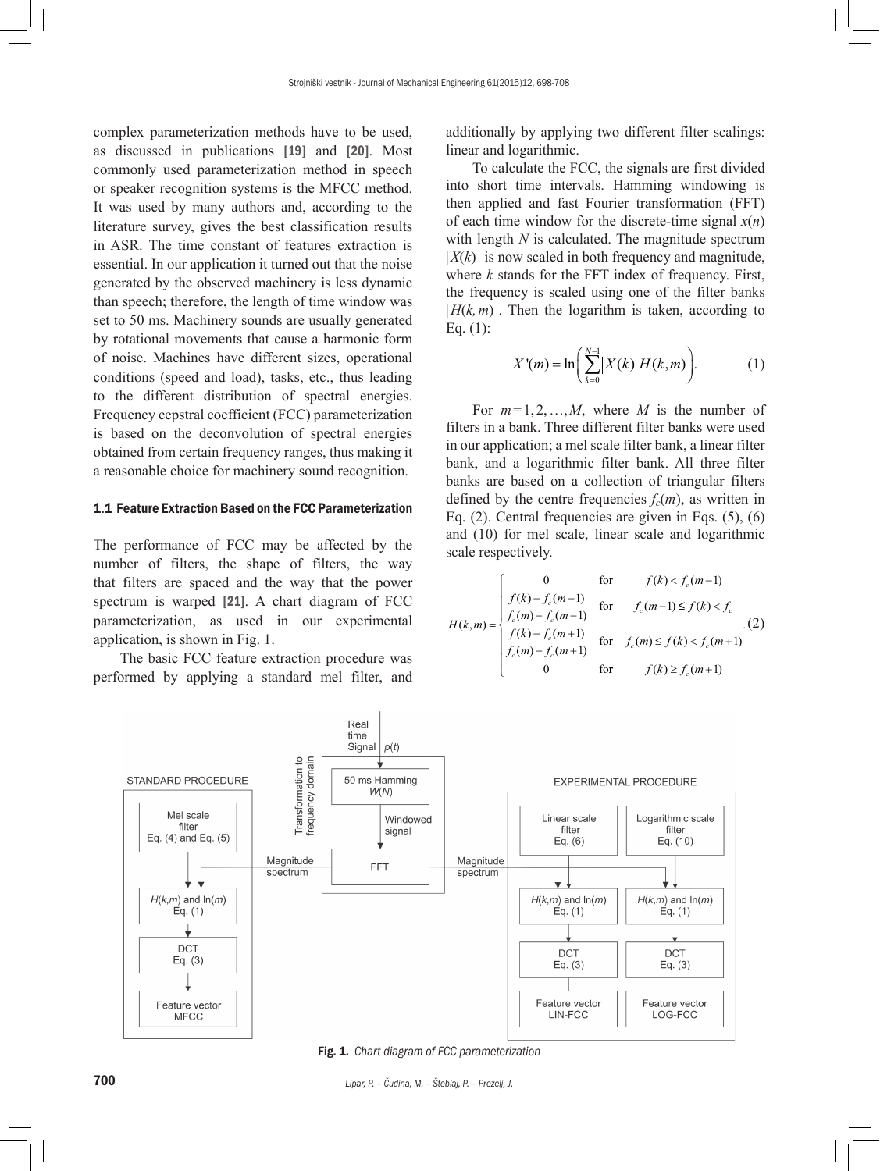complex parameterization methods have to be used, as discussed in publications [19] and [20]. Most commonly used parameterization method in speech or speaker recognition systems is the MFCC method. It was used by many authors and, according to the literature survey, gives the best classification results in ASR. The time constant of features extraction is essential. In our application it turned out that the noise generated by the observed machinery is less dynamic than speech; therefore, the length of time window was set to 50 ms. Machinery sounds are usually generated by rotational movements that cause a harmonic form of noise. Machines have different sizes, operational conditions (speed and load), tasks, etc., thus leading to the different distribution of spectral energies. Frequency cepstral coefficient (FCC) parameterization is based on the deconvolution of spectral energies obtained from certain frequency ranges, thus making it a reasonable choice for machinery sound recognition.

# 1.1 Feature Extraction Based on the FCC Parameterization

The performance of FCC may be affected by the number of filters, the shape of filters, the way that filters are spaced and the way that the power spectrum is warped [21]. A chart diagram of FCC parameterization, as used in our experimental application, is shown in Fig. 1.

The basic FCC feature extraction procedure was performed by applying a standard mel filter, and additionally by applying two different filter scalings: linear and logarithmic.

To calculate the FCC, the signals are first divided into short time intervals. Hamming windowing is then applied and fast Fourier transformation (FFT) of each time window for the discrete-time signal  $x(n)$ with length *N* is calculated. The magnitude spectrum  $|X(k)|$  is now scaled in both frequency and magnitude, where  $k$  stands for the FFT index of frequency. First, the frequency is scaled using one of the filter banks  $|H(k, m)|$ . Then the logarithm is taken, according to Eq. (1):

$$
X'(m) = \ln\bigg(\sum_{k=0}^{N-1} |X(k)| H(k, m)\bigg). \tag{1}
$$

For *m*=1,2,…,*M*, where *M* is the number of filters in a bank. Three different filter banks were used in our application; a mel scale filter bank, a linear filter bank, and a logarithmic filter bank. All three filter banks are based on a collection of triangular filters defined by the centre frequencies  $f_c(m)$ , as written in Eq.  $(2)$ . Central frequencies are given in Eqs.  $(5)$ ,  $(6)$ and (10) for mel scale, linear scale and logarithmic scale respectively.

$$
H(k,m) = \begin{cases} 0 & \text{for } f(k) < f_c(m-1) \\ \frac{f(k) - f_c(m-1)}{f_c(m) - f_c(m-1)} & \text{for } f_c(m-1) \le f(k) < f_c \\ \frac{f(k) - f_c(m+1)}{f_c(m) - f_c(m+1)} & \text{for } f_c(m) \le f(k) < f_c(m+1) \\ 0 & \text{for } f(k) \ge f_c(m+1) \end{cases}
$$



Fig. 1. *Chart diagram of FCC parameterization*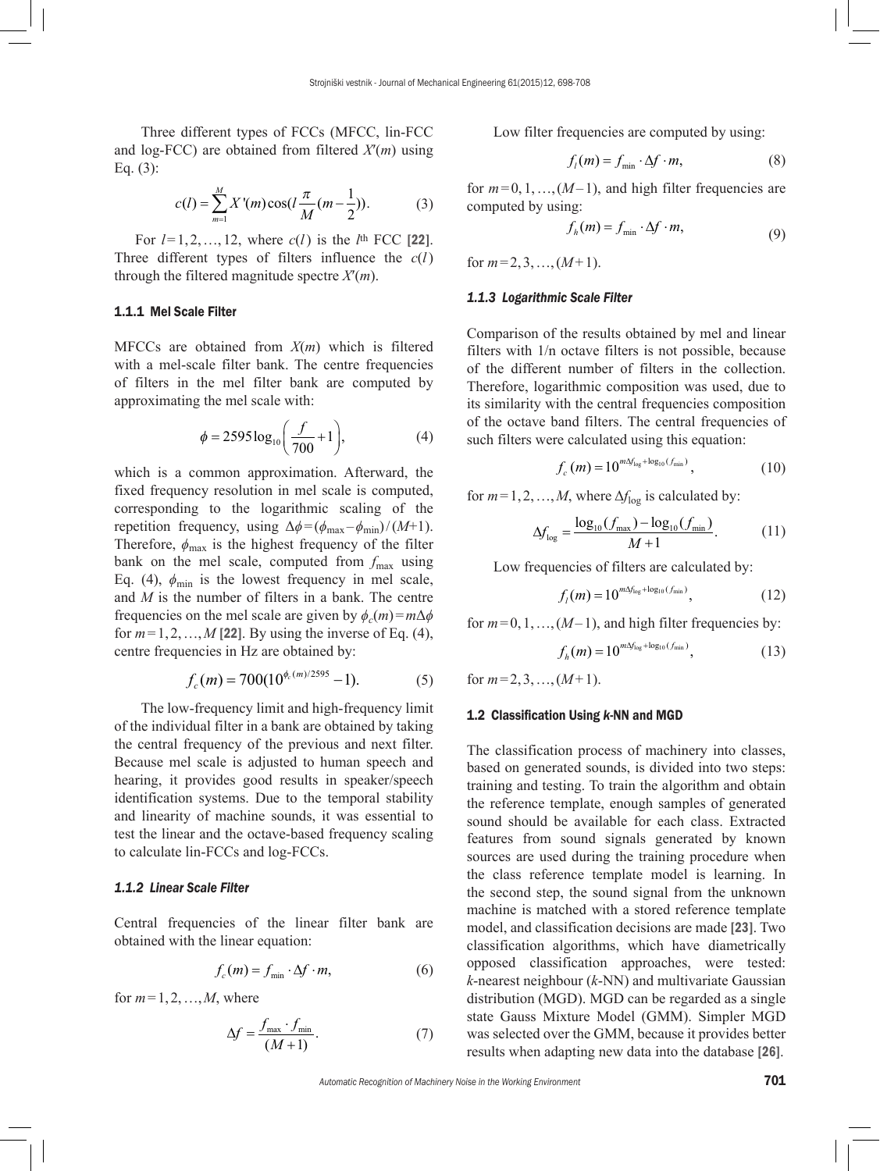Three different types of FCCs (MFCC, lin-FCC and log-FCC) are obtained from filtered *X*′(*m*) using Eq. (3):

$$
c(l) = \sum_{m=1}^{M} X'(m) \cos(l \frac{\pi}{M} (m - \frac{1}{2})).
$$
 (3)

For  $l = 1, 2, ..., 12$ , where  $c(l)$  is the  $l<sup>th</sup>$  FCC [22]. Three different types of filters influence the *c*(*l*) through the filtered magnitude spectre *X*′(*m*).

# 1.1.1 Mel Scale Filter

MFCCs are obtained from *X*(*m*) which is filtered with a mel-scale filter bank. The centre frequencies of filters in the mel filter bank are computed by approximating the mel scale with:

$$
\phi = 2595 \log_{10} \left( \frac{f}{700} + 1 \right),\tag{4}
$$

which is a common approximation. Afterward, the fixed frequency resolution in mel scale is computed, corresponding to the logarithmic scaling of the repetition frequency, using  $\Delta \phi = (\phi_{\text{max}} - \phi_{\text{min}})/(M+1)$ . Therefore,  $\phi_{\text{max}}$  is the highest frequency of the filter bank on the mel scale, computed from  $f_{\text{max}}$  using Eq. (4),  $\phi_{\text{min}}$  is the lowest frequency in mel scale, and *M* is the number of filters in a bank. The centre frequencies on the mel scale are given by  $\phi_c(m) = m\Delta\phi$ for  $m=1,2,...,M$  [22]. By using the inverse of Eq. (4), centre frequencies in Hz are obtained by:

$$
f_c(m) = 700(10^{\phi_c(m)/2595} - 1). \tag{5}
$$

The low-frequency limit and high-frequency limit of the individual filter in a bank are obtained by taking the central frequency of the previous and next filter. Because mel scale is adjusted to human speech and hearing, it provides good results in speaker/speech identification systems. Due to the temporal stability and linearity of machine sounds, it was essential to test the linear and the octave-based frequency scaling to calculate lin-FCCs and log-FCCs.

# *1.1.2 Linear Scale Filter*

Central frequencies of the linear filter bank are obtained with the linear equation:

$$
f_c(m) = f_{\min} \cdot \Delta f \cdot m,\tag{6}
$$

for  $m=1,2,\ldots,M$ , where

$$
\Delta f = \frac{f_{\text{max}} \cdot f_{\text{min}}}{(M+1)}.
$$
\n(7)

Low filter frequencies are computed by using:

$$
f_l(m) = f_{\min} \cdot \Delta f \cdot m,\tag{8}
$$

for  $m=0,1,...,(M-1)$ , and high filter frequencies are computed by using:

$$
f_h(m) = f_{\min} \cdot \Delta f \cdot m,\tag{9}
$$

for  $m=2,3,...,(M+1)$ .

#### *1.1.3 Logarithmic Scale Filter*

Comparison of the results obtained by mel and linear filters with 1/n octave filters is not possible, because of the different number of filters in the collection. Therefore, logarithmic composition was used, due to its similarity with the central frequencies composition of the octave band filters. The central frequencies of such filters were calculated using this equation:

$$
f_c(m) = 10^{m\Delta f_{\log} + \log_{10}(f_{\min})},\tag{10}
$$

for  $m=1,2,...,M$ , where  $\Delta f_{\text{log}}$  is calculated by:

$$
\Delta f_{\text{log}} = \frac{\log_{10}(f_{\text{max}}) - \log_{10}(f_{\text{min}})}{M + 1}.
$$
 (11)

Low frequencies of filters are calculated by:

$$
f_i(m) = 10^{m\Delta f_{\log} + \log_{10}(f_{\min})},\tag{12}
$$

for  $m=0,1,\ldots,(M-1)$ , and high filter frequencies by:

$$
f_h(m) = 10^{m\Delta f_{\text{log}} + \log_{10}(f_{\text{min}})},\tag{13}
$$

for  $m=2,3,...,(M+1)$ .

#### 1.2 Classification Using *k*-NN and MGD

The classification process of machinery into classes, based on generated sounds, is divided into two steps: training and testing. To train the algorithm and obtain the reference template, enough samples of generated sound should be available for each class. Extracted features from sound signals generated by known sources are used during the training procedure when the class reference template model is learning. In the second step, the sound signal from the unknown machine is matched with a stored reference template model, and classification decisions are made [23]. Two classification algorithms, which have diametrically opposed classification approaches, were tested: *k*-nearest neighbour (*k*-NN) and multivariate Gaussian distribution (MGD). MGD can be regarded as a single state Gauss Mixture Model (GMM). Simpler MGD was selected over the GMM, because it provides better results when adapting new data into the database [26].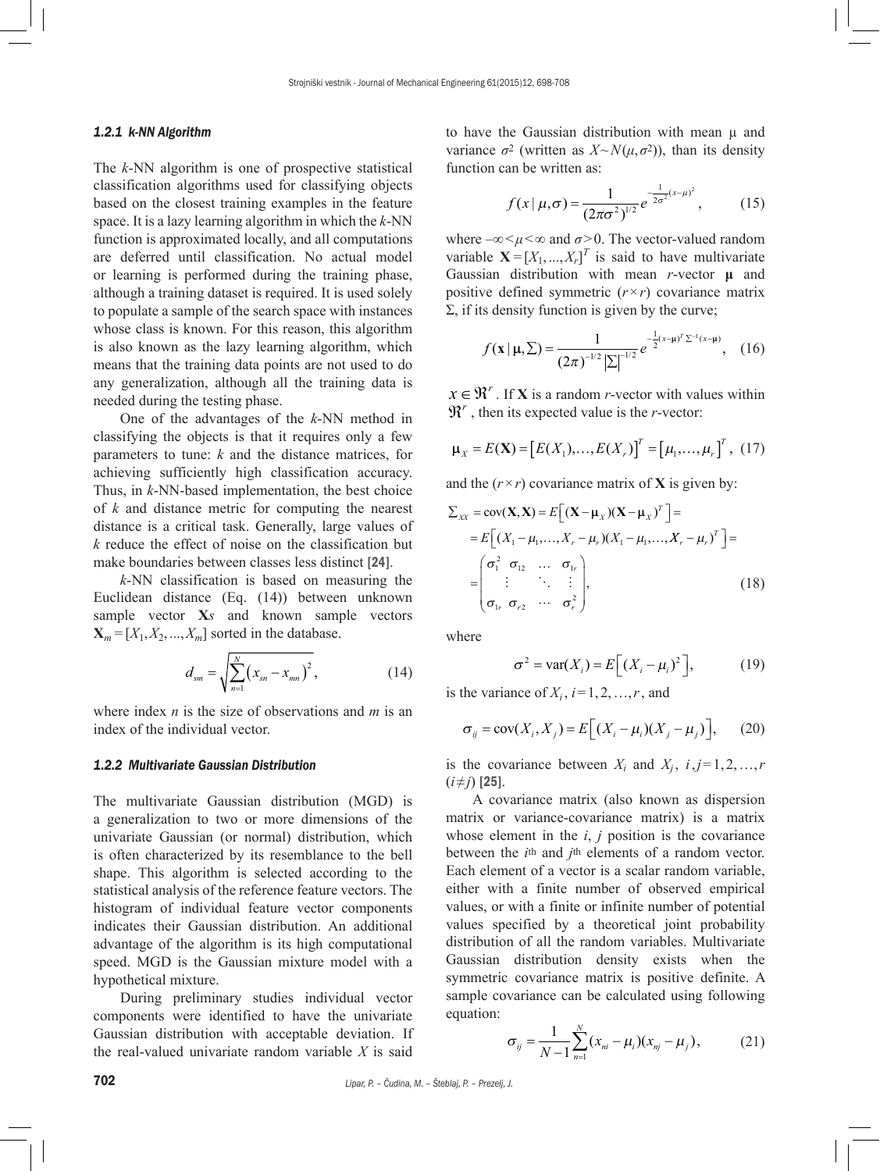## *1.2.1 k-NN Algorithm*

The *k*-NN algorithm is one of prospective statistical classification algorithms used for classifying objects based on the closest training examples in the feature space. It is a lazy learning algorithm in which the *k*-NN function is approximated locally, and all computations are deferred until classification. No actual model or learning is performed during the training phase, although a training dataset is required. It is used solely to populate a sample of the search space with instances whose class is known. For this reason, this algorithm is also known as the lazy learning algorithm, which means that the training data points are not used to do any generalization, although all the training data is needed during the testing phase.

One of the advantages of the *k*-NN method in classifying the objects is that it requires only a few parameters to tune: *k* and the distance matrices, for achieving sufficiently high classification accuracy. Thus, in *k*-NN-based implementation, the best choice of *k* and distance metric for computing the nearest distance is a critical task. Generally, large values of *k* reduce the effect of noise on the classification but make boundaries between classes less distinct [24].

*k*-NN classification is based on measuring the Euclidean distance (Eq. (14)) between unknown sample vector **X***s* and known sample vectors  $\mathbf{X}_m = [X_1, X_2, \dots, X_m]$  sorted in the database.

$$
d_{sm} = \sqrt{\sum_{n=1}^{N} (x_{sn} - x_{mn})^2},
$$
 (14)

where index *n* is the size of observations and *m* is an index of the individual vector.

# *1.2.2 Multivariate Gaussian Distribution*

The multivariate Gaussian distribution (MGD) is a generalization to two or more dimensions of the univariate Gaussian (or normal) distribution, which is often characterized by its resemblance to the bell shape. This algorithm is selected according to the statistical analysis of the reference feature vectors. The histogram of individual feature vector components indicates their Gaussian distribution. An additional advantage of the algorithm is its high computational speed. MGD is the Gaussian mixture model with a hypothetical mixture.

During preliminary studies individual vector components were identified to have the univariate Gaussian distribution with acceptable deviation. If the real-valued univariate random variable *X* is said to have the Gaussian distribution with mean  $\mu$  and variance  $\sigma^2$  (written as  $X \sim N(\mu, \sigma^2)$ ), than its density function can be written as:

$$
f(x | \mu, \sigma) = \frac{1}{(2\pi\sigma^2)^{1/2}} e^{-\frac{1}{2\sigma^2}(x-\mu)^2},
$$
 (15)

where  $-\infty < \mu < \infty$  and  $\sigma > 0$ . The vector-valued random variable  $\mathbf{X} = [X_1, ..., X_r]^T$  is said to have multivariate Gaussian distribution with mean *r*-vector **μ** and positive defined symmetric  $(r \times r)$  covariance matrix  $Σ$ , if its density function is given by the curve;

$$
f(\mathbf{x} \mid \mathbf{\mu}, \Sigma) = \frac{1}{(2\pi)^{-1/2} |\Sigma|^{-1/2}} e^{-\frac{1}{2} (x - \mathbf{\mu})^T \Sigma^{-1} (x - \mathbf{\mu})}, \quad (16)
$$

 $x \in \mathbb{R}^r$ . If **X** is a random *r*-vector with values within  $\mathfrak{R}^r$ , then its expected value is the *r*-vector:

$$
\mu_X = E(\mathbf{X}) = [E(X_1),...,E(X_r)]^T = [u_1,...,u_r]^T, (17)
$$

and the  $(r \times r)$  covariance matrix of **X** is given by:

$$
\sum_{XX} = \text{cov}(\mathbf{X}, \mathbf{X}) = E\left[ (\mathbf{X} - \boldsymbol{\mu}_X)(\mathbf{X} - \boldsymbol{\mu}_X)^T \right] =
$$
\n
$$
= E\left[ (X_1 - \mu_1, ..., X_r - \mu_r)(X_1 - \mu_1, ..., X_r - \mu_r)^T \right] =
$$
\n
$$
= \begin{pmatrix} \sigma_1^2 & \sigma_1 & \cdots & \sigma_{1r} \\ \vdots & \ddots & \vdots \\ \sigma_{1r} & \sigma_{r2} & \cdots & \sigma_r^2 \end{pmatrix},
$$
\n(18)

where

$$
\sigma^2 = \text{var}(X_i) = E\Big[ (X_i - \mu_i)^2 \Big],\tag{19}
$$

is the variance of  $X_i$ ,  $i=1,2,...,r$ , and

$$
\sigma_{ij} = \text{cov}(X_i, X_j) = E\Big[(X_i - \mu_i)(X_j - \mu_j)\Big],\qquad(20)
$$

is the covariance between  $X_i$  and  $X_j$ ,  $i, j = 1, 2, ..., r$ (*i*≠*j*) [25].

A covariance matrix (also known as dispersion matrix or variance-covariance matrix) is a matrix whose element in the *i*, *j* position is the covariance between the *i*th and *j*th elements of a random vector. Each element of a vector is a scalar random variable, either with a finite number of observed empirical values, or with a finite or infinite number of potential values specified by a theoretical joint probability distribution of all the random variables. Multivariate Gaussian distribution density exists when the symmetric covariance matrix is positive definite. A sample covariance can be calculated using following equation:

$$
\sigma_{ij} = \frac{1}{N-1} \sum_{n=1}^{N} (x_{ni} - \mu_i)(x_{nj} - \mu_j), \qquad (21)
$$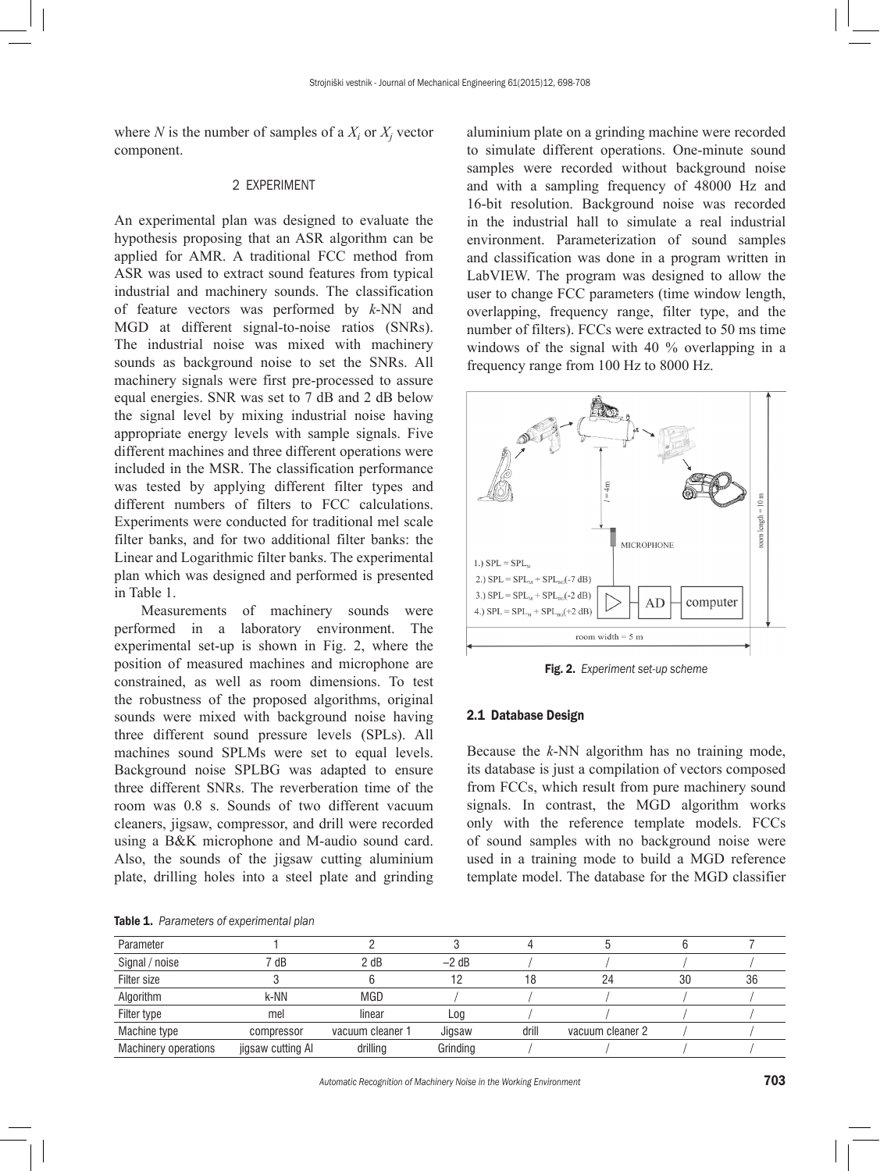where *N* is the number of samples of a  $X_i$  or  $X_j$  vector component.

#### 2 EXPERIMENT

An experimental plan was designed to evaluate the hypothesis proposing that an ASR algorithm can be applied for AMR. A traditional FCC method from ASR was used to extract sound features from typical industrial and machinery sounds. The classification of feature vectors was performed by *k*-NN and MGD at different signal-to-noise ratios (SNRs). The industrial noise was mixed with machinery sounds as background noise to set the SNRs. All machinery signals were first pre-processed to assure equal energies. SNR was set to 7 dB and 2 dB below the signal level by mixing industrial noise having appropriate energy levels with sample signals. Five different machines and three different operations were included in the MSR. The classification performance was tested by applying different filter types and different numbers of filters to FCC calculations. Experiments were conducted for traditional mel scale filter banks, and for two additional filter banks: the Linear and Logarithmic filter banks. The experimental plan which was designed and performed is presented in Table 1.

Measurements of machinery sounds were performed in a laboratory environment. The experimental set-up is shown in Fig. 2, where the position of measured machines and microphone are constrained, as well as room dimensions. To test the robustness of the proposed algorithms, original sounds were mixed with background noise having three different sound pressure levels (SPLs). All machines sound SPLMs were set to equal levels. Background noise SPLBG was adapted to ensure three different SNRs. The reverberation time of the room was 0.8 s. Sounds of two different vacuum cleaners, jigsaw, compressor, and drill were recorded using a B&K microphone and M-audio sound card. Also, the sounds of the jigsaw cutting aluminium plate, drilling holes into a steel plate and grinding

aluminium plate on a grinding machine were recorded to simulate different operations. One-minute sound samples were recorded without background noise and with a sampling frequency of 48000 Hz and 16-bit resolution. Background noise was recorded in the industrial hall to simulate a real industrial environment. Parameterization of sound samples and classification was done in a program written in LabVIEW. The program was designed to allow the user to change FCC parameters (time window length, overlapping, frequency range, filter type, and the number of filters). FCCs were extracted to 50 ms time windows of the signal with 40 % overlapping in a frequency range from 100 Hz to 8000 Hz.



Fig. 2. *Experiment set-up scheme*

# 2.1 Database Design

Because the *k*-NN algorithm has no training mode, its database is just a compilation of vectors composed from FCCs, which result from pure machinery sound signals. In contrast, the MGD algorithm works only with the reference template models. FCCs of sound samples with no background noise were used in a training mode to build a MGD reference template model. The database for the MGD classifier

| Parameter                   |                   |                  |          |       |                  |    |    |
|-----------------------------|-------------------|------------------|----------|-------|------------------|----|----|
| Signal / noise              | 7 dB              | 2 dB             | $-2$ dB  |       |                  |    |    |
| Filter size                 |                   |                  | 12       | 18    | 24               | 30 | 36 |
| Algorithm                   | k-NN              | <b>MGD</b>       |          |       |                  |    |    |
| Filter type                 | mel               | linear           | Log      |       |                  |    |    |
| Machine type                | compressor        | vacuum cleaner 1 | Jigsaw   | drill | vacuum cleaner 2 |    |    |
| <b>Machinery operations</b> | jigsaw cutting Al | drilling         | Grinding |       |                  |    |    |

Table 1. *Parameters of experimental plan*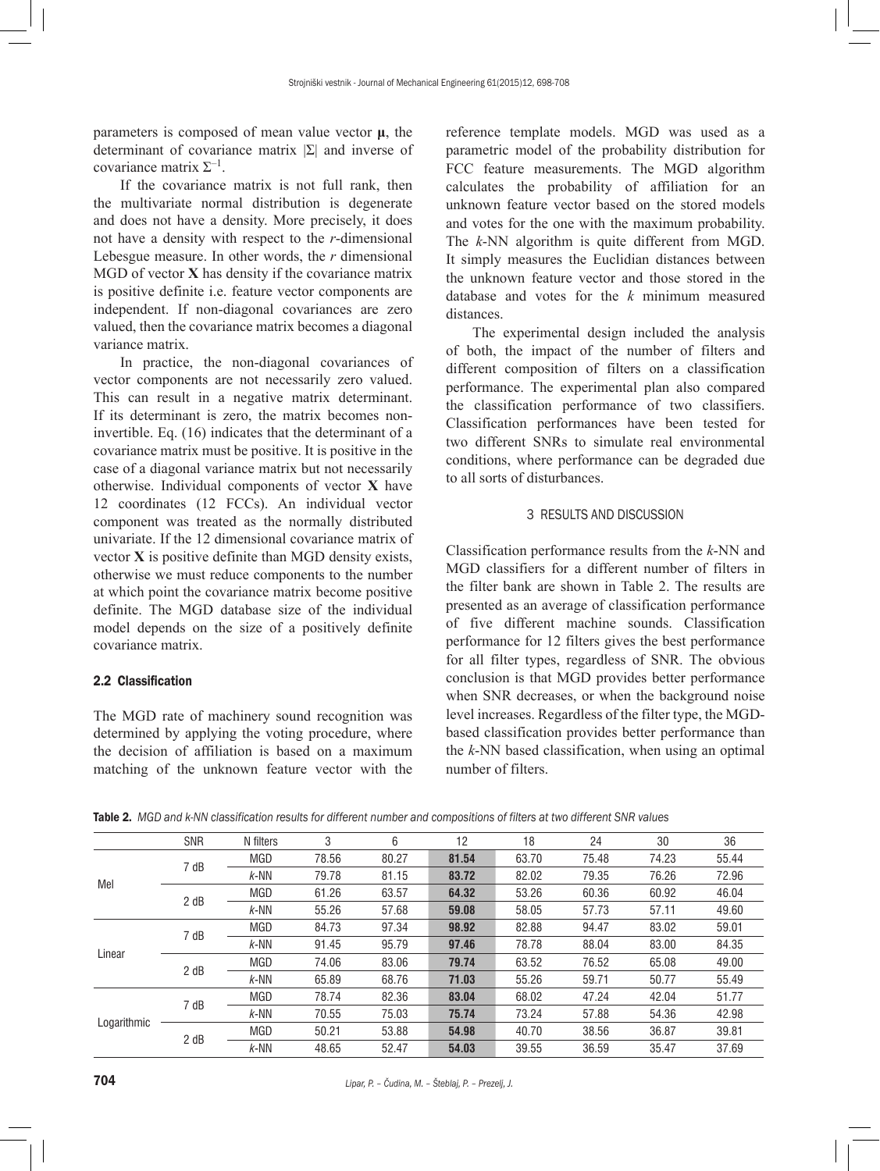parameters is composed of mean value vector **μ**, the determinant of covariance matrix |Σ| and inverse of covariance matrix  $\Sigma^{-1}$ .

If the covariance matrix is not full rank, then the multivariate normal distribution is degenerate and does not have a density. More precisely, it does not have a density with respect to the *r*-dimensional Lebesgue measure. In other words, the *r* dimensional MGD of vector **X** has density if the covariance matrix is positive definite i.e. feature vector components are independent. If non-diagonal covariances are zero valued, then the covariance matrix becomes a diagonal variance matrix.

In practice, the non-diagonal covariances of vector components are not necessarily zero valued. This can result in a negative matrix determinant. If its determinant is zero, the matrix becomes noninvertible. Eq. (16) indicates that the determinant of a covariance matrix must be positive. It is positive in the case of a diagonal variance matrix but not necessarily otherwise. Individual components of vector **X** have 12 coordinates (12 FCCs). An individual vector component was treated as the normally distributed univariate. If the 12 dimensional covariance matrix of vector **X** is positive definite than MGD density exists, otherwise we must reduce components to the number at which point the covariance matrix become positive definite. The MGD database size of the individual model depends on the size of a positively definite covariance matrix.

# 2.2 Classification

The MGD rate of machinery sound recognition was determined by applying the voting procedure, where the decision of affiliation is based on a maximum matching of the unknown feature vector with the reference template models. MGD was used as a parametric model of the probability distribution for FCC feature measurements. The MGD algorithm calculates the probability of affiliation for an unknown feature vector based on the stored models and votes for the one with the maximum probability. The *k*-NN algorithm is quite different from MGD. It simply measures the Euclidian distances between the unknown feature vector and those stored in the database and votes for the *k* minimum measured distances.

The experimental design included the analysis of both, the impact of the number of filters and different composition of filters on a classification performance. The experimental plan also compared the classification performance of two classifiers. Classification performances have been tested for two different SNRs to simulate real environmental conditions, where performance can be degraded due to all sorts of disturbances.

# 3 RESULTS AND DISCUSSION

Classification performance results from the *k*-NN and MGD classifiers for a different number of filters in the filter bank are shown in Table 2. The results are presented as an average of classification performance of five different machine sounds. Classification performance for 12 filters gives the best performance for all filter types, regardless of SNR. The obvious conclusion is that MGD provides better performance when SNR decreases, or when the background noise level increases. Regardless of the filter type, the MGDbased classification provides better performance than the *k*-NN based classification, when using an optimal number of filters.

| Table 2. MGD and k-NN classification results for different number and compositions of filters at two different SNR values |  |
|---------------------------------------------------------------------------------------------------------------------------|--|
|---------------------------------------------------------------------------------------------------------------------------|--|

|             | SNR  | N filters  | 3     | 6     | 12    | 18    | 24    | 30    | 36    |
|-------------|------|------------|-------|-------|-------|-------|-------|-------|-------|
|             | 7 dB | <b>MGD</b> | 78.56 | 80.27 | 81.54 | 63.70 | 75.48 | 74.23 | 55.44 |
| Mel         |      | $k$ -NN    | 79.78 | 81.15 | 83.72 | 82.02 | 79.35 | 76.26 | 72.96 |
|             | 2 dB | <b>MGD</b> | 61.26 | 63.57 | 64.32 | 53.26 | 60.36 | 60.92 | 46.04 |
|             |      | $k$ -NN    | 55.26 | 57.68 | 59.08 | 58.05 | 57.73 | 57.11 | 49.60 |
|             | 7 dB | <b>MGD</b> | 84.73 | 97.34 | 98.92 | 82.88 | 94.47 | 83.02 | 59.01 |
| Linear      |      | $k$ -NN    | 91.45 | 95.79 | 97.46 | 78.78 | 88.04 | 83.00 | 84.35 |
|             | 2 dB | <b>MGD</b> | 74.06 | 83.06 | 79.74 | 63.52 | 76.52 | 65.08 | 49.00 |
|             |      | $k$ -NN    | 65.89 | 68.76 | 71.03 | 55.26 | 59.71 | 50.77 | 55.49 |
| Logarithmic | 7 dB | <b>MGD</b> | 78.74 | 82.36 | 83.04 | 68.02 | 47.24 | 42.04 | 51.77 |
|             |      | $k$ -NN    | 70.55 | 75.03 | 75.74 | 73.24 | 57.88 | 54.36 | 42.98 |
|             | 2 dB | <b>MGD</b> | 50.21 | 53.88 | 54.98 | 40.70 | 38.56 | 36.87 | 39.81 |
|             |      | $k$ -NN    | 48.65 | 52.47 | 54.03 | 39.55 | 36.59 | 35.47 | 37.69 |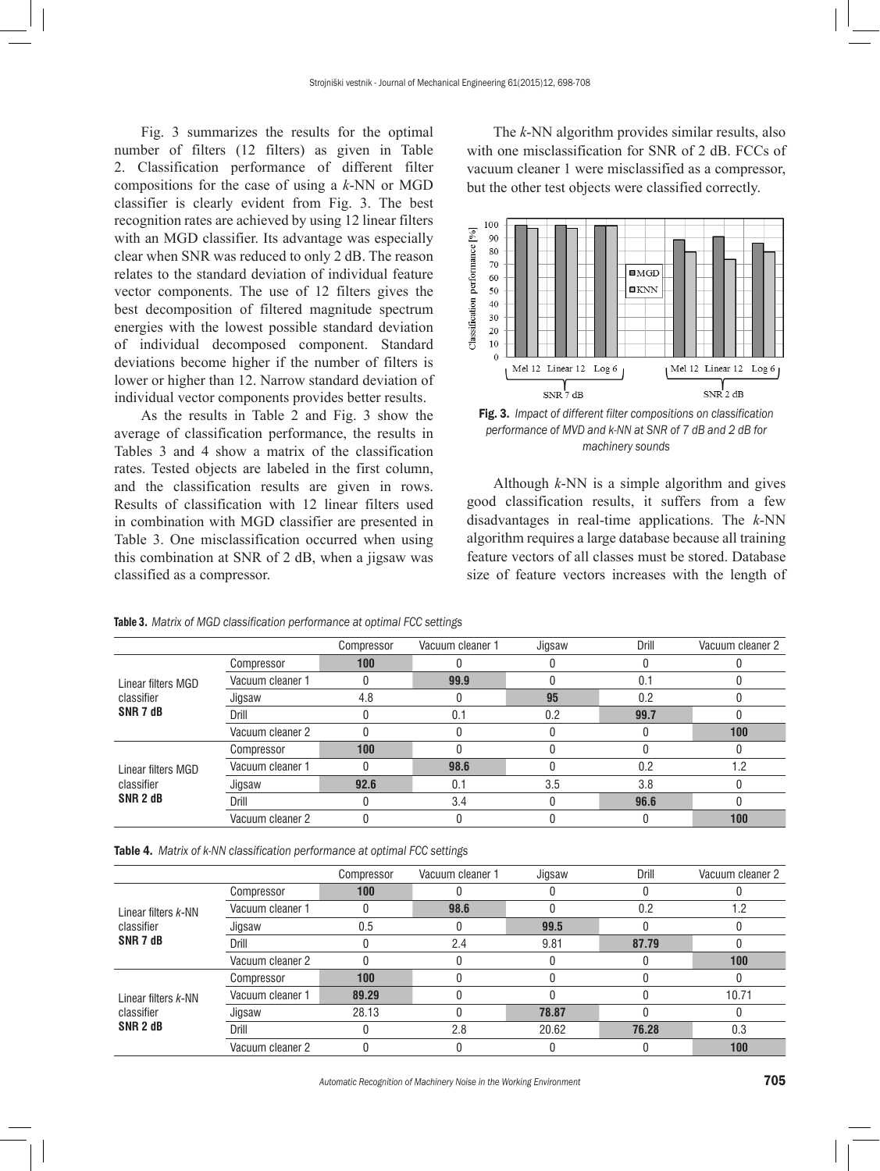Fig. 3 summarizes the results for the optimal number of filters (12 filters) as given in Table 2. Classification performance of different filter compositions for the case of using a *k*-NN or MGD classifier is clearly evident from Fig. 3. The best recognition rates are achieved by using 12 linear filters with an MGD classifier. Its advantage was especially clear when SNR was reduced to only 2 dB. The reason relates to the standard deviation of individual feature vector components. The use of 12 filters gives the best decomposition of filtered magnitude spectrum energies with the lowest possible standard deviation of individual decomposed component. Standard deviations become higher if the number of filters is lower or higher than 12. Narrow standard deviation of individual vector components provides better results.

As the results in Table 2 and Fig. 3 show the average of classification performance, the results in Tables 3 and 4 show a matrix of the classification rates. Tested objects are labeled in the first column, and the classification results are given in rows. Results of classification with 12 linear filters used in combination with MGD classifier are presented in Table 3. One misclassification occurred when using this combination at SNR of 2 dB, when a jigsaw was classified as a compressor.

The *k*-NN algorithm provides similar results, also with one misclassification for SNR of 2 dB. FCCs of vacuum cleaner 1 were misclassified as a compressor, but the other test objects were classified correctly.



Fig. 3. *Impact of different filter compositions on classification performance of MVD and k-NN at SNR of 7 dB and 2 dB for machinery sounds*

Although *k*-NN is a simple algorithm and gives good classification results, it suffers from a few disadvantages in real-time applications. The *k*-NN algorithm requires a large database because all training feature vectors of all classes must be stored. Database size of feature vectors increases with the length of

|                                                         |                  | Compressor | Vacuum cleaner 1 | Jigsaw | Drill | Vacuum cleaner 2 |
|---------------------------------------------------------|------------------|------------|------------------|--------|-------|------------------|
|                                                         | Compressor       | 100        |                  |        |       |                  |
| Linear filters MGD                                      | Vacuum cleaner 1 | 0          | 99.9             |        | 0.1   |                  |
| classifier                                              | Jigsaw           | 4.8        |                  | 95     | 0.2   |                  |
| SNR 7 dB                                                | Drill            |            | 0.1              | 0.2    | 99.7  |                  |
|                                                         | Vacuum cleaner 2 |            |                  |        |       | 100              |
| Linear filters MGD<br>classifier<br>SNR <sub>2</sub> dB | Compressor       | 100        |                  |        |       |                  |
|                                                         | Vacuum cleaner 1 |            | 98.6             |        | 0.2   | 1.2              |
|                                                         | Jigsaw           | 92.6       | 0.1              | 3.5    | 3.8   |                  |
|                                                         | Drill            |            | 3.4              |        | 96.6  |                  |
|                                                         | Vacuum cleaner 2 |            |                  |        |       | 100              |

Table 3. *Matrix of MGD classification performance at optimal FCC settings*

Table 4. *Matrix of k-NN classification performance at optimal FCC settings*

|                                                          |                  | Compressor | Vacuum cleaner 1 | Jigsaw | Drill | Vacuum cleaner 2 |
|----------------------------------------------------------|------------------|------------|------------------|--------|-------|------------------|
|                                                          | Compressor       | 100        |                  |        |       |                  |
| Linear filters k-NN                                      | Vacuum cleaner 1 |            | 98.6             |        | 0.2   | 1.2              |
| classifier                                               | Jigsaw           | 0.5        |                  | 99.5   |       |                  |
| SNR 7 dB                                                 | Drill            |            | 2.4              | 9.81   | 87.79 |                  |
|                                                          | Vacuum cleaner 2 |            |                  |        |       | 100              |
| Linear filters k-NN<br>classifier<br>SNR <sub>2</sub> dB | Compressor       | 100        |                  |        |       |                  |
|                                                          | Vacuum cleaner 1 | 89.29      |                  |        |       | 10.71            |
|                                                          | Jigsaw           | 28.13      |                  | 78.87  |       |                  |
|                                                          | Drill            |            | 2.8              | 20.62  | 76.28 | 0.3              |
|                                                          | Vacuum cleaner 2 |            |                  |        |       | 100              |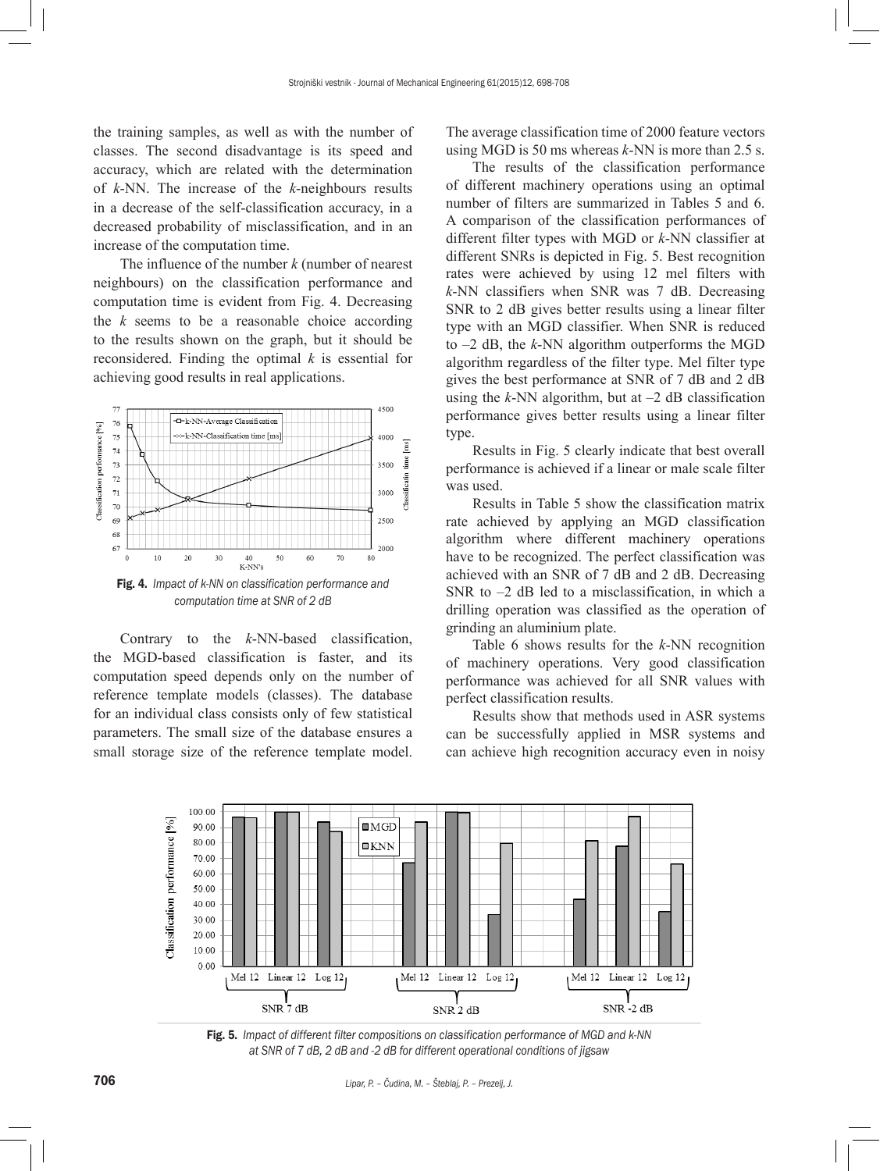the training samples, as well as with the number of classes. The second disadvantage is its speed and accuracy, which are related with the determination of *k*-NN. The increase of the *k*-neighbours results in a decrease of the self-classification accuracy, in a decreased probability of misclassification, and in an increase of the computation time.

The influence of the number *k* (number of nearest neighbours) on the classification performance and computation time is evident from Fig. 4. Decreasing the *k* seems to be a reasonable choice according to the results shown on the graph, but it should be reconsidered. Finding the optimal *k* is essential for achieving good results in real applications.



*computation time at SNR of 2 dB*

Contrary to the *k*-NN-based classification, the MGD-based classification is faster, and its computation speed depends only on the number of reference template models (classes). The database for an individual class consists only of few statistical parameters. The small size of the database ensures a small storage size of the reference template model.

The average classification time of 2000 feature vectors using MGD is 50 ms whereas *k*-NN is more than 2.5 s.

The results of the classification performance of different machinery operations using an optimal number of filters are summarized in Tables 5 and 6. A comparison of the classification performances of different filter types with MGD or *k*-NN classifier at different SNRs is depicted in Fig. 5. Best recognition rates were achieved by using 12 mel filters with *k*-NN classifiers when SNR was 7 dB. Decreasing SNR to 2 dB gives better results using a linear filter type with an MGD classifier. When SNR is reduced to –2 dB, the *k*-NN algorithm outperforms the MGD algorithm regardless of the filter type. Mel filter type gives the best performance at SNR of 7 dB and 2 dB using the  $k$ -NN algorithm, but at  $-2$  dB classification performance gives better results using a linear filter type.

Results in Fig. 5 clearly indicate that best overall performance is achieved if a linear or male scale filter was used.

Results in Table 5 show the classification matrix rate achieved by applying an MGD classification algorithm where different machinery operations have to be recognized. The perfect classification was achieved with an SNR of 7 dB and 2 dB. Decreasing SNR to  $-2$  dB led to a misclassification, in which a drilling operation was classified as the operation of grinding an aluminium plate.

Table 6 shows results for the *k*-NN recognition of machinery operations. Very good classification performance was achieved for all SNR values with perfect classification results.

Results show that methods used in ASR systems can be successfully applied in MSR systems and can achieve high recognition accuracy even in noisy



Fig. 5. *Impact of different filter compositions on classification performance of MGD and k-NN at SNR of 7 dB, 2 dB and -2 dB for different operational conditions of jigsaw*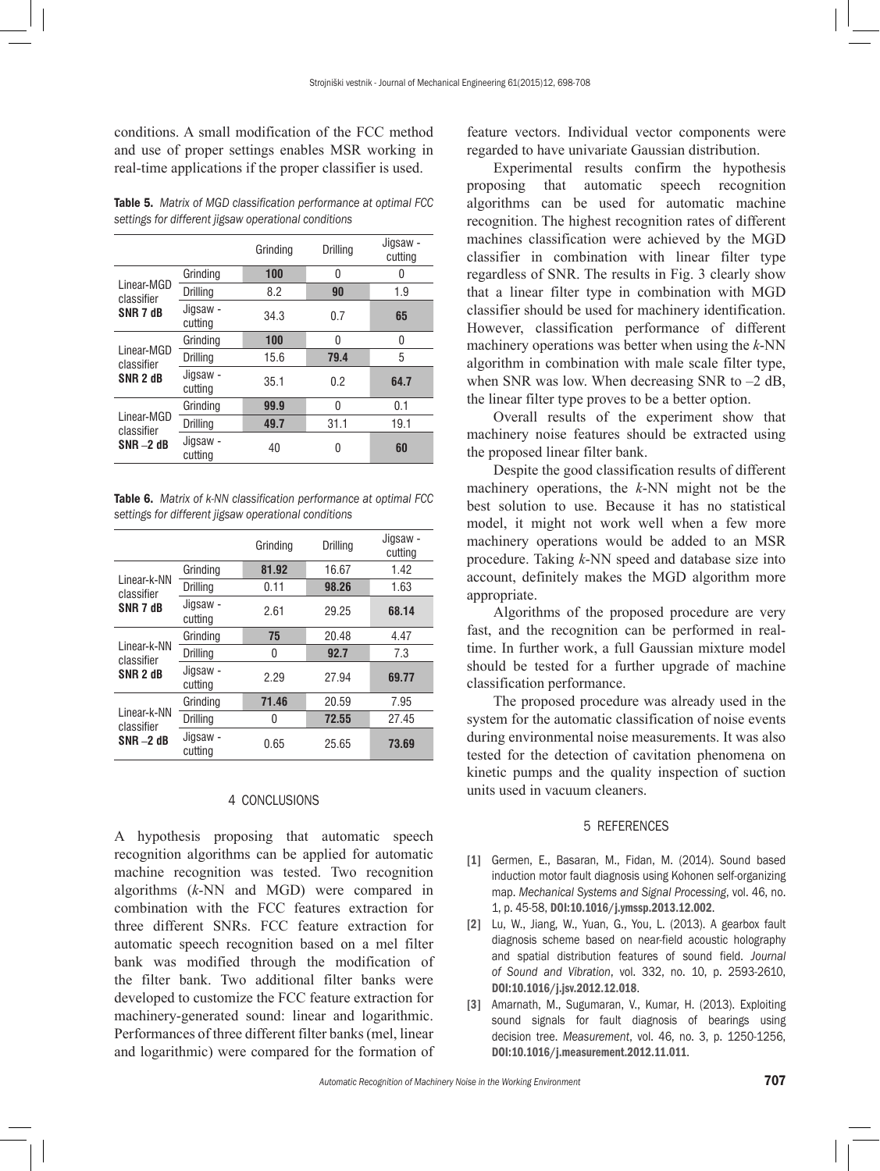conditions. A small modification of the FCC method and use of proper settings enables MSR working in real-time applications if the proper classifier is used.

Table 5. *Matrix of MGD classification performance at optimal FCC settings for different jigsaw operational conditions*

|                                                 |                     | Grinding | Drilling | Jigsaw -<br>cutting |
|-------------------------------------------------|---------------------|----------|----------|---------------------|
|                                                 | Grinding            | 100      | 0        | 0                   |
| Linear-MGD<br>classifier                        | <b>Drilling</b>     | 8.2      | 90       | 1.9                 |
| SNR 7 dB                                        | Jigsaw -<br>cuttina | 34.3     | 0.7      | 65                  |
| Linear-MGD<br>classifier<br>SNR <sub>2</sub> dB | Grinding            | 100      | 0        | 0                   |
|                                                 | <b>Drilling</b>     | 15.6     | 79.4     | 5                   |
|                                                 | Jigsaw -<br>cutting | 35.1     | 0.2      | 64.7                |
| Linear-MGD<br>classifier<br>$SNR - 2 dB$        | Grinding            | 99.9     | 0        | 0.1                 |
|                                                 | <b>Drilling</b>     | 49.7     | 31.1     | 19.1                |
|                                                 | Jigsaw -<br>cuttina | 40       | 0        | 60                  |

Table 6. *Matrix of k-NN classification performance at optimal FCC settings for different jigsaw operational conditions*

|                                           |                     | Grinding | Drilling | Jigsaw -<br>cutting |
|-------------------------------------------|---------------------|----------|----------|---------------------|
|                                           | Grinding            | 81.92    | 16.67    | 1.42                |
| I inear-k-NN<br>classifier                | <b>Drilling</b>     | 0.11     | 98.26    | 1.63                |
| SNR 7 dB                                  | Jigsaw -<br>cutting | 2.61     | 29.25    | 68.14               |
|                                           | Grinding            | 75       | 20.48    | 4.47                |
| Linear-k-NN<br>classifier                 | <b>Drilling</b>     | 0        | 92.7     | 7.3                 |
| SNR <sub>2</sub> dB                       | Jigsaw -<br>cutting | 2.29     | 27.94    | 69.77               |
| Linear-k-NN<br>classifier<br>$SNR = 2 dB$ | Grindina            | 71.46    | 20.59    | 7.95                |
|                                           | <b>Drilling</b>     | N        | 72.55    | 27.45               |
|                                           | Jigsaw -<br>cutting | 0.65     | 25.65    | 73.69               |

# 4 CONCLUSIONS

A hypothesis proposing that automatic speech recognition algorithms can be applied for automatic machine recognition was tested. Two recognition algorithms (*k*-NN and MGD) were compared in combination with the FCC features extraction for three different SNRs. FCC feature extraction for automatic speech recognition based on a mel filter bank was modified through the modification of the filter bank. Two additional filter banks were developed to customize the FCC feature extraction for machinery-generated sound: linear and logarithmic. Performances of three different filter banks (mel, linear and logarithmic) were compared for the formation of feature vectors. Individual vector components were regarded to have univariate Gaussian distribution.

Experimental results confirm the hypothesis proposing that automatic speech recognition algorithms can be used for automatic machine recognition. The highest recognition rates of different machines classification were achieved by the MGD classifier in combination with linear filter type regardless of SNR. The results in Fig. 3 clearly show that a linear filter type in combination with MGD classifier should be used for machinery identification. However, classification performance of different machinery operations was better when using the *k*-NN algorithm in combination with male scale filter type, when SNR was low. When decreasing SNR to  $-2$  dB, the linear filter type proves to be a better option.

Overall results of the experiment show that machinery noise features should be extracted using the proposed linear filter bank.

Despite the good classification results of different machinery operations, the *k*-NN might not be the best solution to use. Because it has no statistical model, it might not work well when a few more machinery operations would be added to an MSR procedure. Taking *k*-NN speed and database size into account, definitely makes the MGD algorithm more appropriate.

Algorithms of the proposed procedure are very fast, and the recognition can be performed in realtime. In further work, a full Gaussian mixture model should be tested for a further upgrade of machine classification performance.

The proposed procedure was already used in the system for the automatic classification of noise events during environmental noise measurements. It was also tested for the detection of cavitation phenomena on kinetic pumps and the quality inspection of suction units used in vacuum cleaners.

# 5 REFERENCES

- [1] Germen, E., Basaran, M., Fidan, M. (2014). Sound based induction motor fault diagnosis using Kohonen self-organizing map. *Mechanical Systems and Signal Processing*, vol. 46, no. 1, p. 45-58, [DOI:10.1016/j.ymssp.2013.12.002](http://dx.doi.org/10.1016/j.ymssp.2013.12.002).
- [2] Lu, W., Jiang, W., Yuan, G., You, L. (2013). A gearbox fault diagnosis scheme based on near-field acoustic holography and spatial distribution features of sound field. *Journal of Sound and Vibration*, vol. 332, no. 10, p. 2593-2610, [DOI:10.1016/j.jsv.2012.12.018](http://dx.doi.org/10.1016/j.jsv.2012.12.018).
- [3] Amarnath, M., Sugumaran, V., Kumar, H. (2013). Exploiting sound signals for fault diagnosis of bearings using decision tree. *Measurement*, vol. 46, no. 3, p. 1250-1256, [DOI:10.1016/j.measurement.2012.11.011](http://dx.doi.org/10.1016/j.measurement.2012.11.011).